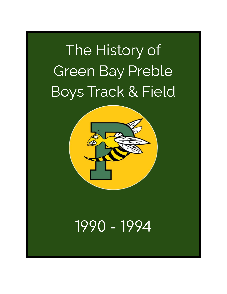# The History of Green Bay Preble Boys Track & Field



# 1990 - 1994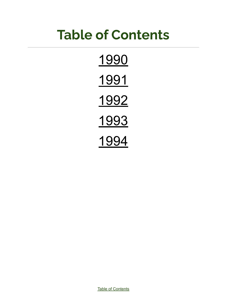# <span id="page-1-0"></span>**Table of Contents**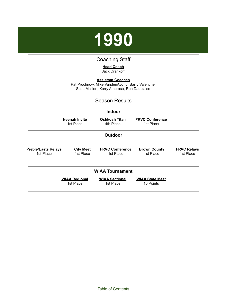

## Coaching Staff

#### **Head Coach** Jack Drankoff

<span id="page-2-0"></span>**Assistant Coaches** Pat Prochnow, Mike VandenAvond, Barry Valentine, Scott Mallien, Kerry Ambrose, Ron Dauplaise

## Season Results

|                                         |                                   | <b>Indoor</b>                       |                                     |                                 |
|-----------------------------------------|-----------------------------------|-------------------------------------|-------------------------------------|---------------------------------|
|                                         | <b>Neenah Invite</b><br>1st Place | <b>Oshkosh Titan</b><br>4th Place   | <b>FRVC Conference</b><br>1st Place |                                 |
|                                         |                                   | <b>Outdoor</b>                      |                                     |                                 |
| <b>Preble/Easts Relays</b><br>1st Place | <b>City Meet</b><br>1st Place     | <b>FRVC Conference</b><br>1st Place | <b>Brown County</b><br>1st Place    | <b>FRVC Relays</b><br>1st Place |
|                                         |                                   | <b>WIAA Tournament</b>              |                                     |                                 |
|                                         | <b>WIAA Regional</b><br>1st Place | <b>WIAA Sectional</b><br>1st Place  | <b>WIAA State Meet</b><br>16 Points |                                 |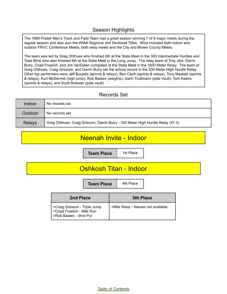## Season Highlights

The 1990 Preble Men's Track and Field Team had a great season winning 7 of 8 major meets during the regular season and also won the WIAA Regional and Sectional Titles. Wins included both indoor and outdoor FRVC Conference Meets, both relay meets and the City and Brown County Meets.

The team was led by Greg Ohlhues who finished 6th at the State Meet in the 300 Intermediate Hurdles and Todd Blink who also finished 6th at the State Meet in the Long Jump, The relay team of Troy Jilot, Darrin Butry, Chad Froelich, and Jim VanDalen competed at the State Meet in the 1600 Meter Relay. The team of Greg Ohlhues, Craig Grissom, and Darrin Butry set the school record in the 330 Meter High Hurdle Relay. Other top performers were Jeff Buzaitis (sprints & relays), Ben Clark (sprints & relays), Tony Mastalir (sprints & relays), Kurt McDermid (high jump), Rob Basten (weights), Darin Truttmann (pole Vault), Tom Katers (sprints & relays), and Scott Bressler (pole vault)

## Records Set

| Indoor        | No records set                                                                 |
|---------------|--------------------------------------------------------------------------------|
| Outdoor       | No records set                                                                 |
| <b>Relays</b> | Greg Ohlhues, Craig Grissom, Darrin Butry - 330 Meter High Hurdle Relay (47.3) |

# Neenah Invite - Indoor

**Team Place** | 1st Place

# Oshkosh Titan - Indoor

**Team Place** | 4th Place

| 2nd Place                                                                           | <b>5th Place</b>                  |
|-------------------------------------------------------------------------------------|-----------------------------------|
| >Craig Grissom - Triple Jump<br>>Chad Froelich - Mile Run<br>>Rob Basten - Shot Put | >Mile Relay - Names not available |

Table of [Contents](#page-1-0)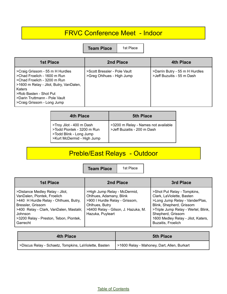# FRVC Conference Meet - Indoor

**Team Place** | 1st Place

| <b>1st Place</b>                                                                                                                                                                                                                            | 2nd Place                                                 | 4th Place                                                    |
|---------------------------------------------------------------------------------------------------------------------------------------------------------------------------------------------------------------------------------------------|-----------------------------------------------------------|--------------------------------------------------------------|
| >Craig Grissom - 55 m H Hurdles<br>>Chad Froelich - 1600 m Run<br>>Chad Froelich - 3200 m Run<br>>1600 m Relay - Jilot, Butry, VanDalen,<br>Katers<br>>Rob Basten - Shot Put<br>>Darin Truttmann - Pole Vault<br>>Craig Grissom - Long Jump | >Scott Bressler - Pole Vault<br>>Greg Ohlhues - High Jump | >Darrin Butry - 55 m H Hurdles<br>>Jeff Buzuitis - 55 m Dash |

| 4th Place                                                                                                       | <b>5th Place</b>                                                   |
|-----------------------------------------------------------------------------------------------------------------|--------------------------------------------------------------------|
| STroy Jilot - 400 m Dash<br>STodd Piontek - 3200 m Run<br>>Todd Blink - Long Jump<br>>Kurt McDermid - High Jump | >3200 m Relay - Names not available<br>>Jeff Buzaitis - 200 m Dash |

# Preble/East Relays - Outdoor

**Team Place** | 1st Place

| 1st Place                                                                                                                                                                                                                                | 2nd Place                                                                                                                                                              | 3rd Place                                                                                                                                                                                                                                      |
|------------------------------------------------------------------------------------------------------------------------------------------------------------------------------------------------------------------------------------------|------------------------------------------------------------------------------------------------------------------------------------------------------------------------|------------------------------------------------------------------------------------------------------------------------------------------------------------------------------------------------------------------------------------------------|
| >Distance Medley Relay - Jilot,<br>VanDalen, Piontek, Froelich<br>>440 H Hurdle Relay - Ohlhues, Butry,<br>Bressler, Grissom<br>>400 Relay - Clark, VanDalen, Mastalir,<br>Johnson<br>>3200 Relay - Preston, Tebon, Piontek,<br>Garrecht | >High Jump Relay - McDermid,<br>Ohlhues, Adamany, Blink<br>>900 I Hurdle Relay - Grissom,<br>Ohlhues, Butry<br>>6400 Relay - Gilson, J. Hazuka, M.<br>Hazuka, Puyleart | >Shot Put Relay - Tompkins,<br>Clark, LaViolette, Basten<br>>Long Jump Relay - VanderPlas,<br>Blink, Shepherd, Grissom<br>>Triple Jump Relay - Wertel, Blink,<br>Shepherd, Grissom<br>1600 Medley Relay - Jilot, Katers,<br>Buzaitis, Froelich |

| 4th Place                                             | <b>5th Place</b>                              |  |
|-------------------------------------------------------|-----------------------------------------------|--|
| >Discus Relay - Schaetz, Tompkins, LaViolette, Basten | i >1600 Relay - Mahoney, Dart, Allen, Burkart |  |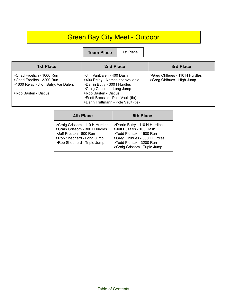# Green Bay City Meet - Outdoor

**Team Place** | 1st Place

| 1st Place                                                                                                                          | 2nd Place                                                                                                                                                                                                                        | 3rd Place                                                  |
|------------------------------------------------------------------------------------------------------------------------------------|----------------------------------------------------------------------------------------------------------------------------------------------------------------------------------------------------------------------------------|------------------------------------------------------------|
| >Chad Froelich - 1600 Run<br>>Chad Froelich - 3200 Run<br>>1600 Relay - Jilot, Butry, VanDalen,<br>Johnson<br>>Rob Basten - Discus | >Jim VanDalen - 400 Dash<br>>400 Relay - Names not available<br>>Darrin Butry - 300 I Hurdles<br>>Craig Grissom - Long Jump<br>>Rob Basten - Discus<br>>Scott Bressler - Pole Vault (tie)<br>>Darin Truttmann - Pole Vault (tie) | >Greg Ohlhues - 110 H Hurdles<br>>Greg Ohlhues - High Jump |

| 4th Place                                                                                                                                               | <b>5th Place</b>                                                                                                                                                                    |
|---------------------------------------------------------------------------------------------------------------------------------------------------------|-------------------------------------------------------------------------------------------------------------------------------------------------------------------------------------|
| >Craig Grissom - 110 H Hurdles<br>>Crain Grissom - 300 I Hurdles<br>>Jeff Preston - 800 Run<br>>Rob Shepherd - Long Jump<br>>Rob Shepherd - Triple Jump | >Darrin Butry - 110 H Hurdles<br>>Jeff Buzaitis - 100 Dash<br>>Todd Piontek - 1600 Run<br>>Greg Ohlhues - 300 I Hurdles<br>>Todd Piontek - 3200 Run<br>>Craig Grissom - Triple Jump |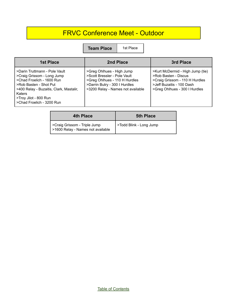# FRVC Conference Meet - Outdoor

**Team Place** | 1st Place

| 1st Place                                                                                                                                                                                                                            | 2nd Place                                                                                                                                                        | 3rd Place                                                                                                                                                |
|--------------------------------------------------------------------------------------------------------------------------------------------------------------------------------------------------------------------------------------|------------------------------------------------------------------------------------------------------------------------------------------------------------------|----------------------------------------------------------------------------------------------------------------------------------------------------------|
| >Darin Truttmann - Pole Vault<br>>Craig Grissom - Long Jump<br>>Chad Froelich - 1600 Run<br>>Rob Basten - Shot Put<br>>400 Relay - Buzaitis, Clark, Mastalir,<br><b>Katers</b><br>>Troy Jilot - 800 Run<br>>Chad Froelich - 3200 Run | >Greg Ohlhues - High Jump<br>>Scott Bressler - Pole Vault<br>>Greg Ohlhues - 110 H Hurdles<br>>Darrin Butry - 300 I Hurdles<br>>3200 Relay - Names not available | >Kurt McDermid - High Jump (tie)<br>>Rob Basten - Discus<br>>Craig Grissom - 110 H Hurdles<br>>Jeff Buzaitis - 100 Dash<br>>Greg Ohlhues - 300 I Hurdles |

| <b>4th Place</b>                                                  | <b>5th Place</b>        |  |
|-------------------------------------------------------------------|-------------------------|--|
| >Craig Grissom - Triple Jump<br>>1600 Relay - Names not available | >Todd Blink - Long Jump |  |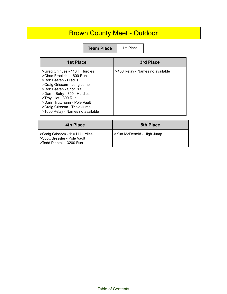# Brown County Meet - Outdoor

**Team Place** | 1st Place

| 1st Place                                                                                                                                                                                                                                                                                                 | 3rd Place                       |
|-----------------------------------------------------------------------------------------------------------------------------------------------------------------------------------------------------------------------------------------------------------------------------------------------------------|---------------------------------|
| >Greg Ohlhues - 110 H Hurdles<br>>Chad Froelich - 1600 Run<br>>Rob Basten - Discus<br>>Craig Grissom - Long Jump<br>>Rob Basten - Shot Put<br>>Darrin Butry - 300 I Hurdles<br>>Troy Jilot - 800 Run<br>>Darin Truttmann - Pole Vault<br>>Craig Grissom - Triple Jump<br>>1600 Relay - Names no available | >400 Relay - Names no available |

| <b>4th Place</b>                                                                           | <b>5th Place</b>           |
|--------------------------------------------------------------------------------------------|----------------------------|
| >Craig Grissom - 110 H Hurdles<br>>Scott Bressler - Pole Vault<br>>Todd Piontek - 3200 Run | >Kurt McDermid - High Jump |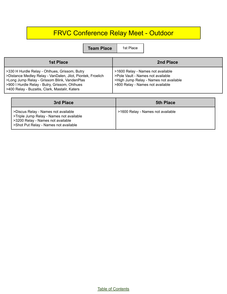# FRVC Conference Relay Meet - Outdoor

**Team Place** 1st Place

| 1st Place                                                                                                                                                                                                                                                       | 2nd Place                                                                                                                                            |
|-----------------------------------------------------------------------------------------------------------------------------------------------------------------------------------------------------------------------------------------------------------------|------------------------------------------------------------------------------------------------------------------------------------------------------|
| >330 H Hurdle Relay - Ohlhues, Grissom, Butry<br>>Distance Medley Relay - VanDalen, Jilot, Piontek, Froelich<br>>Long Jump Relay - Grissom Blink, VandenPlas<br>>900 I Hurdle Relay - Butry, Grissom, Ohlhues<br>>400 Relay - Buzaitis, Clark, Mastalir, Katers | >1600 Relay - Names not available<br>>Pole Vault - Names not available<br>>High Jump Relay - Names not available<br>>800 Relay - Names not available |

| 3rd Place                                                                                                                                                     | <b>5th Place</b>                  |
|---------------------------------------------------------------------------------------------------------------------------------------------------------------|-----------------------------------|
| >Discus Relay - Names not available<br>>Triple Jump Relay - Names not available<br>>3200 Relay - Names not available<br>>Shot Put Relay - Names not available | >1600 Relay - Names not available |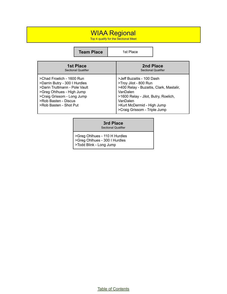## WIAA Regional

п

Top 4 qualify for the Sectional Meet

|                                                | <b>Team Place</b>                                                                                                                                                                                        |  | 1st Place                                                                                                                                                                                                                   |  |
|------------------------------------------------|----------------------------------------------------------------------------------------------------------------------------------------------------------------------------------------------------------|--|-----------------------------------------------------------------------------------------------------------------------------------------------------------------------------------------------------------------------------|--|
| <b>1st Place</b><br><b>Sectional Qualifier</b> |                                                                                                                                                                                                          |  | 2nd Place<br><b>Sectional Qualifier</b>                                                                                                                                                                                     |  |
|                                                | >Chad Froelich - 1600 Run<br>>Darrin Butry - 300 I Hurdles<br>>Darin Truttmann - Pole Vault<br>>Greg Ohlhues - High Jump<br>>Craig Grissom - Long Jump<br>>Rob Basten - Discus<br>>Rob Basten - Shot Put |  | >Jeff Buzaitis - 100 Dash<br>>Troy Jilot - 800 Run<br>>400 Relay - Buzaitis, Clark, Mastalir,<br>VanDalen<br>>1600 Relay - Jilot, Butry, Roelich,<br>VanDalen<br>>Kurt McDermid - High Jump<br>>Craig Grissom - Triple Jump |  |

#### **3rd Place**

Sectional Qualifier

>Greg Ohlhues - 110 H Hurdles >Greg Ohlhues - 300 I Hurdles >Todd Blink - Long Jump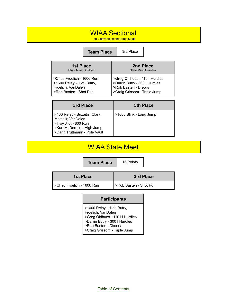## WIAA Sectional

Top 2 advance to the State Meet

|                                                                                                          | <b>Team Place</b> | 3rd Place                                                                                                              |  |
|----------------------------------------------------------------------------------------------------------|-------------------|------------------------------------------------------------------------------------------------------------------------|--|
| <b>1st Place</b><br><b>State Meet Qualifier</b>                                                          |                   | 2nd Place<br><b>State Meet Qualifier</b>                                                                               |  |
| >Chad Froelich - 1600 Run<br>>1600 Relay - Jilot, Butry,<br>Froelich, VanDalen<br>>Rob Basten - Shot Put |                   | >Greg Ohlhues - 110 I Hurdles<br>>Darrin Butry - 300 I Hurdles<br>>Rob Basten - Discus<br>>Craig Grissom - Triple Jump |  |

| 3rd Place                                                                                                                                   | <b>5th Place</b>        |
|---------------------------------------------------------------------------------------------------------------------------------------------|-------------------------|
| >400 Relay - Buzaitis, Clark,<br>Mastalir, VanDalen<br>>Troy Jilot - 800 Run<br>>Kurt McDermid - High Jump<br>>Darin Truttmann - Pole Vault | >Todd Blink - Long Jump |

# WIAA State Meet

**Team Place** | 16 Points

| 1st Place                 | 3rd Place              |
|---------------------------|------------------------|
| >Chad Froelich - 1600 Run | >Rob Basten - Shot Put |

#### **Participants**

>1600 Relay - Jilot, Butry, Froelich, VanDalen >Greg Ohlhues - 110 H Hurdles >Darrin Butry - 300 I Hurdles >Rob Basten - Discus >Craig Grissom - Triple Jump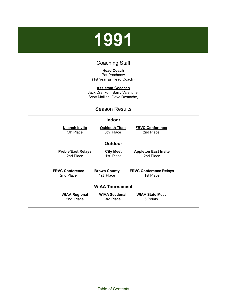# <span id="page-11-0"></span>**1991**

## Coaching Staff

**Head Coach** Pat Prochnow (1st Year as Head Coach)

**Assistant Coaches** Jack Drankoff, Barry Valentine, Scott Mallien, Dave Destache,

## Season Results

| <b>Indoor</b>                                                           |                                            |
|-------------------------------------------------------------------------|--------------------------------------------|
| <b>Neenah Invite</b><br><u>Oshkosh Titan</u><br>5th Place<br>6th Place  | <b>FRVC Conference</b><br>2nd Place        |
| <b>Outdoor</b>                                                          |                                            |
| <b>City Meet</b><br><b>Preble/East Relays</b><br>2nd Place<br>1st Place | <b>Appleton East Invite</b><br>2nd Place   |
| <b>FRVC Conference</b><br><b>Brown County</b><br>2nd Place<br>1st Place | <b>FRVC Conference Relays</b><br>1st Place |
| <b>WIAA Tournament</b>                                                  |                                            |
| <b>WIAA Sectional</b><br><b>WIAA Regional</b><br>2nd Place<br>3rd Place | <b>WIAA State Meet</b><br>6 Points         |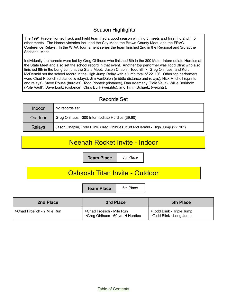## Season Highlights

The 1991 Preble Hornet Track and Field team had a good season winning 3 meets and finishing 2nd in 5 other meets. The Hornet victories included the City Meet, the Brown County Meet, and the FRVC Conference Relays. In the WIAA Tournament series the team finished 2nd in the Regional and 3rd at the Sectional Meet.

Individually the hornets were led by Greg Ohlhues who finished 6th in the 300 Meter Intermediate Hurdles at the State Meet and also set the school record in that event. Another top performer was Todd Blink who also finished 6th in the Long Jump at the State Meet. Jason Chaplin, Todd Blink, Greg Ohlhues, and Kurt McDermid set the school record in the High Jump Relay with a jump total of 22' 10". Other top performers were Chad Froelich (distance & relays), Jim VanDalen (middle distance and relays), Nick Mitchell (sprints and relays), Steve Rouse (hurdles), Todd Piontek (distance), Dan Adamany (Pole Vault), Willie Berkholz (Pole Vault), Dave Loritz (distance), Chris Bulik (weights), and Timm Schaetz (weights),

### Records Set

| Indoor        | No records set                                                               |
|---------------|------------------------------------------------------------------------------|
| Outdoor       | Greg Ohlhues - 300 Intermediate Hurdles (39.60)                              |
| <b>Relays</b> | Jason Chaplin, Todd Blink, Greg Ohlhues, Kurt McDermid - High Jump (22' 10") |

## Neenah Rocket Invite - Indoor

**Team Place** | 5th Place

## Oshkosh Titan Invite - Outdoor

**Team Place** | 6th Place

| 2nd Place                   | 3rd Place                                                     | <b>5th Place</b>                                     |
|-----------------------------|---------------------------------------------------------------|------------------------------------------------------|
| >Chad Froelich - 2 Mile Run | >Chad Froelich - Mile Run<br>>Greg Ohlhues - 60 yd. H Hurdles | >Todd Blink - Triple Jump<br>>Todd Blink - Long Jump |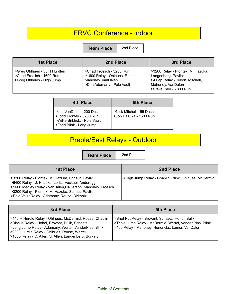# FRVC Conference - Indoor

**Team Place** 2nd Place

| <b>1st Place</b>                                                                       | 2nd Place                                                                                                    | 3rd Place                                                                                                                                   |
|----------------------------------------------------------------------------------------|--------------------------------------------------------------------------------------------------------------|---------------------------------------------------------------------------------------------------------------------------------------------|
| >Greg Ohlhues - 55 H Hurdles<br>>Chad Froelich - 1600 Run<br>>Greg Ohlhues - High Jump | >Chad Froelich - 3200 Run<br>>1600 Relay - Ohlhues, Rouse,<br>Mahoney, VanDalen<br>>Dan Adamany - Pole Vault | >3200 Relay - Piontek, M. Hazuka,<br>Langenberg, Pavlick<br>>4 Lap Relay - Tebon, Mitchell,<br>Mahoney, VanDalen<br>>Steve Pavlik - 800 Run |

| <b>4th Place</b>                                                                                                 | <b>5th Place</b>                                   |
|------------------------------------------------------------------------------------------------------------------|----------------------------------------------------|
| >Jim VanDalen - 200 Dash<br>>Todd Piontek - 3200 Run<br>>Willie Birkholz - Pole Vault<br>>Todd Blink - Long Jump | >Nick Mitchell - 55 Dash<br>>Jon Hazuka - 1600 Run |

# Preble/East Relays - Outdoor

**Team Place** 2nd Place

| <b>1st Place</b>                                                                                                                                                                                                                                                              | 2nd Place                                            |
|-------------------------------------------------------------------------------------------------------------------------------------------------------------------------------------------------------------------------------------------------------------------------------|------------------------------------------------------|
| >3200 Relay - Piontek, M. Hazuka, Schaut, Pavlik<br>  >6400 Relay - J. Hazuka, Loritz, Voskuel, Anderegg<br>>1600 Medley Relay - VanDalen, Halverson, Mahoney, Froelich<br>  >3200 Relay - Piontek, M. Hazuka, Schaut, Pavlik<br>>Pole Vault Relay - Adamany, Rouse, Birkholz | >High Jump Relay - Chaplin, Blink, Ohlhues, McDermid |

| 3rd Place                                                                                                                                                                                                                                                                     | <b>5th Place</b>                                                                                                                                                 |
|-------------------------------------------------------------------------------------------------------------------------------------------------------------------------------------------------------------------------------------------------------------------------------|------------------------------------------------------------------------------------------------------------------------------------------------------------------|
| >440 H Hurdle Relay - Ohlhues, McDermid, Rouse, Chaplin<br>>Discus Relay - Hohol, Brovont, Bulik, Schaetz<br>>Long Jump Relay - Adamany, Wertel, VanderPlas, Blink<br>S900 I Hurdle Relay - Ohlhues, Rouse, Wertel<br>  >1600 Relay - C. Allen, S. Allen, Langenberg, Burkart | >Shot Put Relay - Brovant, Schaetz, Hohol, Bulik<br>>Triple Jump Relay - McDermid, Wertel, VandenPlas, Blink<br>>400 Relay - Mahoney, Hendricks, Lamer, VanDalen |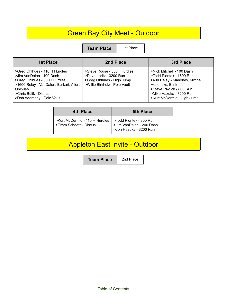# Green Bay City Meet - Outdoor

**Team Place** | 1st Place

| 1st Place                                                                                                                                                                                              | 2nd Place                                                                                                             | 3rd Place                                                                                                                                                                                         |
|--------------------------------------------------------------------------------------------------------------------------------------------------------------------------------------------------------|-----------------------------------------------------------------------------------------------------------------------|---------------------------------------------------------------------------------------------------------------------------------------------------------------------------------------------------|
| >Greg Ohlhues - 110 H Hurdles<br>>Jim VanDalen - 400 Dash<br>>Greg Ohlhues - 300 I Hurdles<br>>1600 Relay - VanDalen, Burkart, Allen,<br>Ohlhues<br>>Chris Bulik - Discus<br>>Dan Adamany - Pole Vault | >Steve Rouse - 300   Hurdles<br>>Dave Loritz - 3200 Run<br>>Greg Ohlhues - High Jump<br>>Willie Birkholz - Pole Vault | >Nick Mitchell - 100 Dash<br>>Todd Piontek - 1600 Run<br>>400 Relay - Mahoney, Mitchell,<br>Hendricks, Blink<br>>Steve Pavlick - 800 Run<br>>Mike Hazuka - 3200 Run<br>>Kurt McDermid - High Jump |

| <b>4th Place</b>                                                                                                                       | <b>5th Place</b> |
|----------------------------------------------------------------------------------------------------------------------------------------|------------------|
| >Kurt McDermid - 110 H Hurdles > Todd Piontek - 800 Run<br>>Timm Schaetz - Discus > Jim VanDalen - 200 Dash<br>> Jon Hazuka - 3200 Run |                  |

# Appleton East Invite - Outdoor

**Team Place** 2nd Place

Table of [Contents](#page-1-0)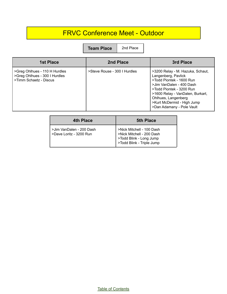## FRVC Conference Meet - Outdoor

**Team Place** 2nd Place

| <b>1st Place</b>                                                                         | 2nd Place                    | 3rd Place                                                                                                                                                                                                                                                         |
|------------------------------------------------------------------------------------------|------------------------------|-------------------------------------------------------------------------------------------------------------------------------------------------------------------------------------------------------------------------------------------------------------------|
| >Greg Ohlhues - 110 H Hurdles<br>>Greg Ohlhues - 300 I Hurdles<br>>Timm Schaetz - Discus | >Steve Rouse - 300   Hurdles | >3200 Relay - M. Hazuka, Schaut,<br>Langenberg, Pavlick<br>>Todd Piontek - 1600 Run<br>>Jim VanDalen - 400 Dash<br>>Todd Piontek - 3200 Run<br>>1600 Relay - VanDalen, Burkart,<br>Ohlhues, Langenberg<br>>Kurt McDermid - High Jump<br>>Dan Adamany - Pole Vault |

| 4th Place                                           | <b>5th Place</b>                                                                                               |
|-----------------------------------------------------|----------------------------------------------------------------------------------------------------------------|
| >Jim VanDalen - 200 Dash<br>>Dave Loritz - 3200 Run | >Nick Mitchell - 100 Dash<br>>Nick Mitchell - 200 Dash<br>>Todd Blink - Long Jump<br>>Todd Blink - Triple Jump |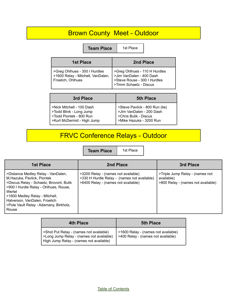# Brown County Meet - Outdoor

**Team Place** 1st Place

|  | st Place |  |
|--|----------|--|
|  |          |  |
|  |          |  |

| <b>1st Place</b>                                                                                                                                                                                       | 2nd Place |
|--------------------------------------------------------------------------------------------------------------------------------------------------------------------------------------------------------|-----------|
| >Greg Ohlhues - 300 I Hurdles<br>>1600 Relay - Mitchell, VanDalen,<br>Froelich, Ohlhues<br>Froelich, Ohlhues<br>>Steve Rouse - 300 I Hurdles<br>>Steve Rouse - 300 I Hurdles<br>>Timm Schaetz - Discus |           |

| 3rd Place                  | <b>5th Place</b>               |
|----------------------------|--------------------------------|
| >Nick Mitchell - 100 Dash  | >Steve Pavlick - 800 Run (tie) |
| >Todd Blink - Long Jump    | >Jlm VanDalen - 200 Dash       |
| >Todd Piontek - 800 Run    | >Chris Bulik - Discus          |
| >Kurt McDermid - High Jump | >Mike Hazuka - 3200 Run        |

# FRVC Conference Relays - Outdoor

**Team Place** | 1st Place

| <b>1st Place</b>                                                                                                                                                                                                                                                                     | 2nd Place                                                                                                                 | 3rd Place                                                                           |
|--------------------------------------------------------------------------------------------------------------------------------------------------------------------------------------------------------------------------------------------------------------------------------------|---------------------------------------------------------------------------------------------------------------------------|-------------------------------------------------------------------------------------|
| >Distance Medley Relay - VanDalen,<br>M.Hazuka, Pavlick, Piontek<br>>Discus Relay - Schaetz, Brovont, Bulik<br>>900 I Hurdle Relay - Ohlhues, Rouse,<br>Wertel<br>>1600 Medley Relay - Mitchell,<br>Halverson, VanDalen, Froelich<br>>Pole Vault Relay - Adamany, Birkholz,<br>Rouse | >3200 Relay - (names not available)<br>>330 H Hurdle Relay - (names not available)<br>>6400 Relay - (names not available) | >Triple Jump Relay - (names not<br>available)<br>>800 Relay - (names not available) |

| 4th Place                                                                                                                      | <b>5th Place</b>                                                          |
|--------------------------------------------------------------------------------------------------------------------------------|---------------------------------------------------------------------------|
| >Shot Put Relay - (names not available)<br>>Long Jump Relay - (names not available)<br>High Jump Relay - (names not available) | >1600 Relay - (names not available)<br>>400 Relay - (names not available) |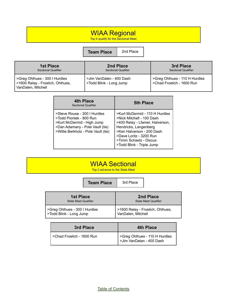# WIAA Regional

Top 4 qualify for the Sectional Meet

#### **Team Place** 2nd Place

| <b>1st Place</b>                                                                        | 2nd Place                                           | 3rd Place                                                  |
|-----------------------------------------------------------------------------------------|-----------------------------------------------------|------------------------------------------------------------|
| <b>Sectional Qualifier</b>                                                              | <b>Sectional Qualifier</b>                          | <b>Sectional Qualifier</b>                                 |
| >Greg Ohlhues - 300 I Hurdles<br>>1600 Relay - Froelich, Ohlhues,<br>VanDalen, Mitchell | >Jim VanDalen - 400 Dash<br>>Todd Blink - Long Jump | >Greg Ohlhues - 110 H Hurdles<br>>Chad Froelich - 1600 Run |

| 4th Place<br><b>Sectional Qualifier</b>                                                                                                                         | 5th Place                                                                                                                                                                                                                              |
|-----------------------------------------------------------------------------------------------------------------------------------------------------------------|----------------------------------------------------------------------------------------------------------------------------------------------------------------------------------------------------------------------------------------|
| >Steve Rouse - 300   Hurdles<br>>Todd Piontek - 800 Run<br>>Kurt McDermid - High Jump<br>>Dan Adamany - Pole Vault (tie)<br>>Willie Berkholz - Pole Vault (tie) | >Kurt McDermid - 110 H Hurdles<br>>Nick Mitchell - 100 Dash<br>>400 Relay - Lfamer, Halverson,<br>Hendricks, Langenberg<br>>Ken Halverson - 200 Dash<br>>Dave Loritz - 3200 Run<br>>Timm Schaetz - Discus<br>>Todd Blink - Triple Jump |

# WIAA Sectional

Top 2 advance to the State Meet

|                                                          | <b>Team Place</b> | 3rd Place          |                                          |
|----------------------------------------------------------|-------------------|--------------------|------------------------------------------|
| <b>1st Place</b><br><b>State Meet Qualifier</b>          |                   |                    | 2nd Place<br><b>State Meet Qualifier</b> |
| >Greg Ohlhues - 300 I Hurdles<br>>Todd Blink - Long Jump |                   | VanDalen, Mitchell | >1600 Relay - Froelich, Ohlhues,         |

| 3rd Place                 | 4th Place                                                 |
|---------------------------|-----------------------------------------------------------|
| >Chad Froelich - 1600 Run | SGreg Ohlhues - 110 H Hurdles<br>>Jim VanDalan - 400 Dash |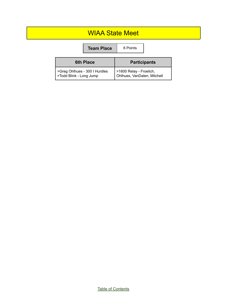## WIAA State Meet

|                                                          | <b>Team Place</b> | 6 Points                                               |  |
|----------------------------------------------------------|-------------------|--------------------------------------------------------|--|
|                                                          | <b>6th Place</b>  | <b>Participants</b>                                    |  |
| >Greg Ohlhues - 300 I Hurdles<br>>Todd Blink - Long Jump |                   | >1600 Relay - Froelich,<br>Ohlhues, VanDalen, Mitchell |  |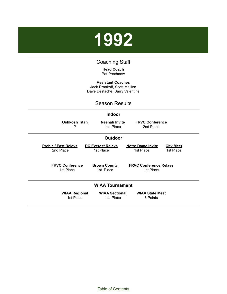# <span id="page-19-0"></span>**1992**

### Coaching Staff

#### **Head Coach** Pat Prochnow

**Assistant Coaches**

Jack Drankoff, Scott Mallien Dave Destache, Barry Valentine

#### Season Results

#### **Indoor**

**Oshkosh Titan** ?

**Neenah Invite** 1st Place

**FRVC Conference** 2nd Place

**FRVC Conference Relays** 1st Place

#### **Outdoor**

**Preble / East Relays** 2nd Place

**DC Everest Relays** 1st Place

**Notre Dame Invite** 1st Place

**City Meet** 1st Place

**FRVC Conference** 1st Place

**Brown County** 1st Place

**WIAA Tournament**

**WIAA Regional** 1st Place

**WIAA Sectional** 1st Place

**WIAA State Meet** 3 Points

Table of [Contents](#page-1-0)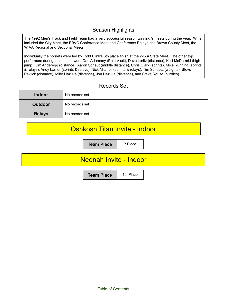## Season Highlights

The 1992 Men's Track and Field Team had a very successful season winning 9 meets during the year. Wins included the City Meet, the FRVC Conference Meet and Conference Relays, the Brown County Meet, the WIAA Regional and Sectional Meets.

Individually the hornets were led by Todd Blink's 6th place finish at the WIAA State Meet. The other top performers during the season were Dan Adamany (Pole Vault), Dave Loritz (distance), Kurt McDermid (high jump), Jim Anderegg (distance), Aaron Schaut (middle distance), Chris Clark (sprints), Mike Running (sprints & relays), Andy Lamer (sprints & relays), Nick Mitchell (sprints & relays), Tim Schaetz (weights), Steve Pavlick (distance), Mike Hazuka (distance), Jon Hazuka (distance), and Steve Rouse (hurdles).

### Records Set

| <b>Indoor</b> | No records set |
|---------------|----------------|
| Outdoor       | No records set |
| <b>Relays</b> | No records set |

## Oshkosh Titan Invite - Indoor

**Team Place | ? Place** 

## Neenah Invite - Indoor

**Team Place** | 1st Place

Table of [Contents](#page-1-0)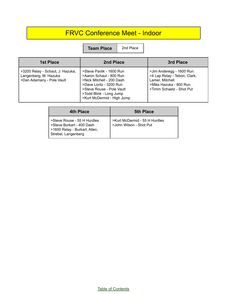# FRVC Conference Meet - Indoor

**Team Place** 2nd Place

| 1st Place                                                                              | 2nd Place                                                                                                                                                                                         | 3rd Place                                                                                                                         |
|----------------------------------------------------------------------------------------|---------------------------------------------------------------------------------------------------------------------------------------------------------------------------------------------------|-----------------------------------------------------------------------------------------------------------------------------------|
| >3200 Relay - Schaut, J. Hazuka,<br>Langenberg, M. Hazuka<br>>Dan Adamany - Pole Vault | >Steve Pavlik - 1600 Run<br>>Aaron Schaut - 800 Run<br>>Nick Mitchell - 200 Dash<br>>Dave Loritz - 3200 Run<br>>Steve Rouse - Pole Vault<br>>Todd Blink - Long Jump<br>>Kurt McDermid - High Jump | >Jim Anderegg - 1600 Run<br>>4 Lap Relay - Tebon, Clark,<br>Lamer, Mitchell<br>>Mike Hazuka - 800 Run<br>>Timm Schaetz - Shot Put |

| 4th Place                                                                                                        | 5th Place                                                |
|------------------------------------------------------------------------------------------------------------------|----------------------------------------------------------|
| >Steve Rouse - 55 H Hurdles<br>>Steve Burkart - 400 Dash<br>>1600 Relay - Burkart, Allen,<br>Strebel, Langenberg | >Kurt McDermid - 55 H Hurdles<br>>John Wilson - Shot Put |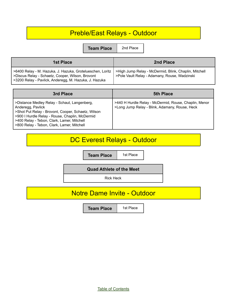# Preble/East Relays - Outdoor

**Team Place** 2nd Place

| <b>1st Place</b>                                                                                                                                                       | 2nd Place                                                                                              |
|------------------------------------------------------------------------------------------------------------------------------------------------------------------------|--------------------------------------------------------------------------------------------------------|
| >6400 Relay - M. Hazuka, J. Hazuka, Grotelueschen, Loritz<br>>Discus Relay - Schaetz, Cooper, Wilson, Brovont<br>>3200 Relay - Pavlick, Anderegg, M. Hazuka, J. Hazuka | >High Jump Relay - McDermid, Blink, Chaplin, Mitchell<br>>Pole Vault Relay - Adamany, Rouse, Wadzinski |

| 3rd Place                                                                                                                                                                                                                                                             | <b>5th Place</b>                                                                                        |
|-----------------------------------------------------------------------------------------------------------------------------------------------------------------------------------------------------------------------------------------------------------------------|---------------------------------------------------------------------------------------------------------|
| >Distance Medley Relay - Schaut, Langenberg,<br>Anderegg, Pavlick<br>>Shot Put Relay - Brovont, Cooper, Schaetz, Wilson<br>>900 I Hurdle Relay - Rouse, Chaplin, McDermid<br>>400 Relay - Tebon, Clark, Lamer, Mitchell<br>>800 Relay - Tebon, Clark, Lamer, Mitchell | >440 H Hurdle Relay - McDermid, Rouse, Chaplin, Menor<br>>Long Jump Relay - Blink, Adamany, Rouse, Heck |

# DC Everest Relays - Outdoor

**Team Place** | 1st Place

**Quad Athlete of the Meet**

Rick Heck

## Notre Dame Invite - Outdoor

**Team Place** | 1st Place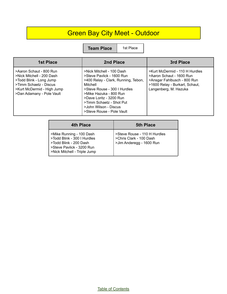# Green Bay City Meet - Outdoor

**Team Place** | 1st Place

| <b>1st Place</b>                                                                                                                                                     | 2nd Place                                                                                                                                                                                                                                                                        | 3rd Place                                                                                                                                            |
|----------------------------------------------------------------------------------------------------------------------------------------------------------------------|----------------------------------------------------------------------------------------------------------------------------------------------------------------------------------------------------------------------------------------------------------------------------------|------------------------------------------------------------------------------------------------------------------------------------------------------|
| >Aaron Schaut - 800 Run<br>>Nick Mitchell - 200 Dash<br>>Todd Blink - Long Jump<br>>Timm Schaetz - Discus<br>>Kurt McDermid - High Jump<br>>Dan Adamany - Pole Vault | >Nick Mitchell - 100 Dash<br>>Steve Paylick - 1600 Run<br>>400 Relay - Clark, Running, Tebon,<br>Mitchell<br>>Steve Rouse - 300   Hurdles<br>>Mike Hazuka - 800 Run<br>>Dave Loritz - 3200 Run<br>>Timm Schaetz - Shot Put<br>>John Wilson - Discus<br>>Steve Rouse - Pole Vault | >Kurt McDermid - 110 H Hurdles<br>>Aaron Schaut - 1600 Run<br>>Ansgar Fahlbusch - 800 Run<br>>1600 Relay - Burkart, Schaut,<br>Langenberg, M. Hazuka |

| 4th Place                                                                                                                                      | <b>5th Place</b>                                                                    |
|------------------------------------------------------------------------------------------------------------------------------------------------|-------------------------------------------------------------------------------------|
| >Mike Running - 100 Dash<br>>Todd Blink - 300 I Hurdles<br>>Todd Blink - 200 Dash<br>>Steve Pavlick - 3200 Run<br>>Nick Mitchell - Triple Jump | >Steve Rouse - 110 H Hurdles<br>>Chris Clark - 100 Dash<br>>Jim Anderegg - 1600 Run |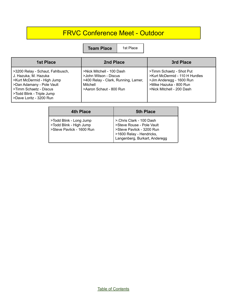# FRVC Conference Meet - Outdoor

**Team Place** | 1st Place

| <b>1st Place</b>                                                                                                                                                                                      | 2nd Place                                                                                                                        | 3rd Place                                                                                                                                     |
|-------------------------------------------------------------------------------------------------------------------------------------------------------------------------------------------------------|----------------------------------------------------------------------------------------------------------------------------------|-----------------------------------------------------------------------------------------------------------------------------------------------|
| >3200 Relay - Schaut, Fahlbusch,<br>J. Hazuka, M. Hazuka<br>>Kurt McDermid - High Jump<br>>Dan Adamany - Pole Vault<br>>Timm Schaetz - Discus<br>>Todd Blink - Triple Jump<br>>Dave Loritz - 3200 Run | >Nick Mitchell - 100 Dash<br>>John Wilson - Discus<br>>400 Relay - Clark, Running, Lamer,<br>Mitchell<br>>Aaron Schaut - 800 Run | >Timm Schaetz - Shot Put<br>>Kurt McDermid - 110 H Hurdles<br>>Jim Anderegg - 1600 Run<br>>Mike Hazuka - 800 Run<br>>Nick Mitchell - 200 Dash |

| 4th Place                                                                       | <b>5th Place</b>                                                                                                                                |
|---------------------------------------------------------------------------------|-------------------------------------------------------------------------------------------------------------------------------------------------|
| >Todd Blink - Long Jump<br>>Todd Blink - High Jump<br>>Steve Pavlick - 1600 Run | >.Chris Clark - 100 Dash<br>>Steve Rouse - Pole Vault<br>>Steve Pavlick - 3200 Run<br>>1600 Relay - Hendricks,<br>Langenberg, Burkart, Anderegg |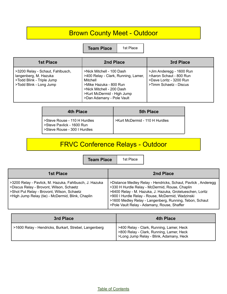# Brown County Meet - Outdoor

**Team Place** | 1st Place

| <b>1st Place</b>                                                                                                  | 2nd Place                                                                                                                                                                                      | 3rd Place                                                                                                |
|-------------------------------------------------------------------------------------------------------------------|------------------------------------------------------------------------------------------------------------------------------------------------------------------------------------------------|----------------------------------------------------------------------------------------------------------|
| >3200 Relay - Schaut, Fahlbusch,<br>langenberg, M. Hazuka<br>>Todd Blink - Triple Jump<br>>Todd Blink - Long Jump | >Nick Mitchell - 100 Dash<br>>400 Relay - Clark, Running, Lamer,<br>Mitchell<br>>Mike Hazuka - 800 Run<br>>Nick Mitchell - 200 Dash<br>>Kurt McDermid - High Jump<br>>Dan Adamany - Pole Vault | >Jim Anderegg - 1600 Run<br>>Aaron Schaut - 800 Run<br>>Dave Loritz - 3200 Run<br>>Timm Schaetz - Discus |

| 4th Place                                                                                 | <b>5th Place</b>               |
|-------------------------------------------------------------------------------------------|--------------------------------|
| >Steve Rouse - 110 H Hurdles<br>>Steve Pavlick - 1600 Run<br>>Steve Rouse - 300 I Hurdles | >Kurt McDermid - 110 H Hurdles |

# FRVC Conference Relays - Outdoor

**Team Place** | 1st Place

| 1st Place                                                                                                                                                                                             | 2nd Place                                                                                                                                                                                                                                                                                                                                  |
|-------------------------------------------------------------------------------------------------------------------------------------------------------------------------------------------------------|--------------------------------------------------------------------------------------------------------------------------------------------------------------------------------------------------------------------------------------------------------------------------------------------------------------------------------------------|
| >3200 Relay - Pavlick, M. Hazuka, Fahlbusch, J. Hazuka<br>>Discus Relay - Brovont, Wilson, Schaetz<br>>Shot Put Relay - Brovont, Wilson, Schaetz<br>>High Jump Relay (tie) - McDermid, Blink, Chaplin | >Distance Medley Relay - Hendricks, Schaut, Pavlick, Anderegg<br>>330 H Hurdle Relay - McDermid, Rouse, Chaplin<br>>6400 Relay - M. Hazuka, J. Hazuka, Grotelueschen, Loritz<br>>900 I Hurdle Relay - Rouse, McDermid, Wadzinski<br>>1600 Medley Relay - Langenberg, Running, Tebon, Schaut<br>>Pole Vault Relay - Adamany, Rouse, Shaffer |

| 3rd Place                                             | 4th Place                                                                                                                       |
|-------------------------------------------------------|---------------------------------------------------------------------------------------------------------------------------------|
| >1600 Relay - Hendricks, Burkart, Strebel, Langenberg | >400 Relay - Clark, Running, Lamer, Heck<br>>800 Relay - Clark, Running, Lamer, Heck<br>>Long Jump Relay - Blink, Adamany, Heck |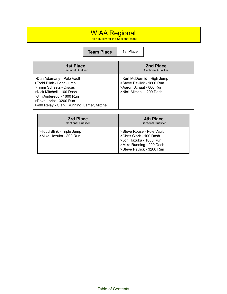# WIAA Regional

Top 4 qualify for the Sectional Meet

**Team Place** 1st Place

| <b>1st Place</b><br><b>Sectional Qualifier</b>                                                                                                                                                                     | 2nd Place<br><b>Sectional Qualifier</b>                                                                         |
|--------------------------------------------------------------------------------------------------------------------------------------------------------------------------------------------------------------------|-----------------------------------------------------------------------------------------------------------------|
| >Dan Adamany - Pole Vault<br>>Todd Blink - Long Jump<br>>Timm Schaetz - Discus<br>>Nick Mitchell - 100 Dash<br>>Jim Anderegg - 1600 Run<br>>Dave Loritz - 3200 Run<br>>400 Relay - Clark, Running, Lamer, Mitchell | >Kurt McDermid - High Jump<br>>Steve Pavlick - 1600 Run<br>>Aaron Schaut - 800 Run<br>>Nick Mitchell - 200 Dash |

| 3rd Place                                           | 4th Place                                                                                                                               |
|-----------------------------------------------------|-----------------------------------------------------------------------------------------------------------------------------------------|
| Sectional Qualifier                                 | <b>Sectional Qualifier</b>                                                                                                              |
| >Todd Blink - Triple Jump<br>>Mike Hazuka - 800 Run | >Steve Rouse - Pole Vault<br>>Chris Clark - 100 Dash<br>>Jon Hazuka - 1600 Run<br>>Mike Running - 200 Dash<br>>Steve Pavlick - 3200 Run |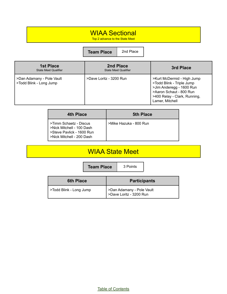# WIAA Sectional

Top 2 advance to the State Meet

**Team Place** 2nd Place

| <b>1st Place</b><br><b>State Meet Qualifier</b>      | 2nd Place<br><b>State Meet Qualifier</b> | 3rd Place                                                                                                                                                         |
|------------------------------------------------------|------------------------------------------|-------------------------------------------------------------------------------------------------------------------------------------------------------------------|
| >Dan Adamany - Pole Vault<br>>Todd Blink - Long Jump | >Dave Loritz - 3200 Run                  | >Kurt McDermid - High Jump<br>>Todd Blink - Triple Jump<br>>Jim Anderegg - 1600 Run<br>>Aaron Schaut - 800 Run<br>>400 Relay - Clark, Running,<br>Lamer, Mitchell |

| 4th Place                                                                                                     | <b>5th Place</b>       |
|---------------------------------------------------------------------------------------------------------------|------------------------|
| >Timm Schaetz - Discus<br>>Nick Mitchell - 100 Dash<br>>Steve Pavlick - 1600 Run<br>>Nick Mitchell - 200 Dash | >Mike Hazuka - 800 Run |

## WIAA State Meet

**Team Place** 3 Points

| <b>6th Place</b>        | <b>Participants</b>                                    |
|-------------------------|--------------------------------------------------------|
| >Todd Blink - Long Jump | >Dan Adamany - Pole Vault<br>  >Dave Loritz - 3200 Run |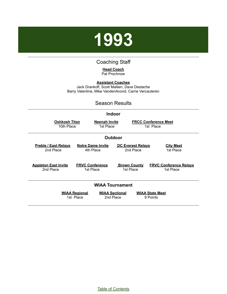

### Coaching Staff

#### **Head Coach** Pat Prochnow

<span id="page-28-0"></span>**Assistant Coaches** Jack Drankoff, Scott Mallien, Dave Destache Barry Valentine, Mike VandenAvond, Carrie Vercauteren

#### Season Results

#### **Indoor**

**Oshkosh Titan** 10th Place

**Neenah Invite** 1st Place

**FRCC Conference Meet** 1st Place

#### **Outdoor**

**Preble / East Relays** 2nd Place

**Appleton East Invite** 2nd Place

#### **Notre Dame Invite** 4th Place

**FRVC Conference** 1st Place

**DC Everest Relays** 2nd Place

**Brown County** 1st Place

#### **City Meet** 1st Place

**FRVC Conference Relays** 1st Place

#### **WIAA Tournament**

**WIAA Regional** 1st Place **WIAA Sectional** 2nd Place

**WIAA State Meet** 9 Points

Table of [Contents](#page-1-0)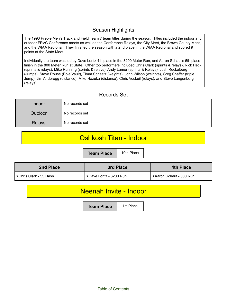## Season Highlights

The 1993 Preble Men's Track and Field Team 7 team titles during the season. Titles included the indoor and outdoor FRVC Conference meets as well as the Conference Relays, the City Meet, the Brown County Meet, and the WIAA Regional. They finished the season with a 2nd place in the WIAA Regional and scored 9 points at the State Meet.

Individually the team was led by Dave Loritz 4th place in the 3200 Meter Run, and Aaron Schaut's 5th place finish in the 800 Meter Run at State. Other top performers included Chris Clark (sprints & relays), Rick Heck (sprints & relays), Mike Running (sprints & relays), Andy Lamer (sprints & Relays), Josh Reckelberg (Jumps), Steve Rouse (Pole Vault), Timm Schaetz (weights), John Wilson (weights), Greg Shaffer (triple Jump), Jim Anderegg (distance), Mike Hazuka (distance), Chris Voskuil (relays), and Steve Langenberg (relays),

## Records Set

| Indoor        | No records set |
|---------------|----------------|
| Outdoor       | No records set |
| <b>Relays</b> | No records set |

# Oshkosh Titan - Indoor

**Team Place** | 10th Place

| 2nd Place                | 3rd Place               | <b>4th Place</b>        |
|--------------------------|-------------------------|-------------------------|
| l >Chris Clark - 55 Dash | >Dave Loritz - 3200 Run | >Aaron Schaut - 800 Run |

## Neenah Invite - Indoor

**Team Place** | 1st Place

Table of [Contents](#page-1-0)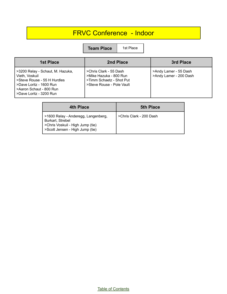# FRVC Conference - Indoor

**Team Place** | 1st Place

| <b>1st Place</b>                                                                                                                                                   | 2nd Place                                                                                                 | 3rd Place                                       |
|--------------------------------------------------------------------------------------------------------------------------------------------------------------------|-----------------------------------------------------------------------------------------------------------|-------------------------------------------------|
| >3200 Relay - Schaut, M. Hazuka,<br>Vieth, Voskuil<br>>Steve Rouse - 55 H Hurdles<br>>Dave Loritz - 1600 Run<br>>Aaron Schaut - 800 Run<br>>Dave Loritz - 3200 Run | >Chris Clark - 55 Dash<br>>Mike Hazuka - 800 Run<br>>Timm Schaetz - Shot Put<br>>Steve Rouse - Pole Vault | >Andy Lamer - 55 Dash<br>>Andy Lamer - 200 Dash |

| 4th Place                                                                                                                      | <b>5th Place</b>        |
|--------------------------------------------------------------------------------------------------------------------------------|-------------------------|
| >1600 Relay - Anderegg, Langenberg,<br>Burkart, Strebel<br>>Chris Voskuil - High Jump (tie)<br>>Scott Jensen - High Jump (tie) | >Chris Clark - 200 Dash |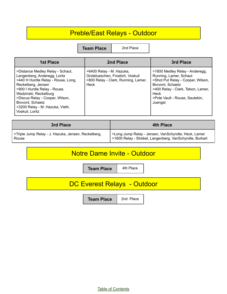# Preble/East Relays - Outdoor

**Team Place** 2nd Place

| <b>1st Place</b>                                                                                                                                                                                                                                                                                   | 2nd Place                                                                                                   | 3rd Place                                                                                                                                                                                                          |
|----------------------------------------------------------------------------------------------------------------------------------------------------------------------------------------------------------------------------------------------------------------------------------------------------|-------------------------------------------------------------------------------------------------------------|--------------------------------------------------------------------------------------------------------------------------------------------------------------------------------------------------------------------|
| >Distance Medley Relay - Schaut,<br>Langenberg, Anderegg, Loritz<br>>440 H Hurdle Relay - Rouse, Long,<br>Reckelberg, Jensen<br>>900 I Hurdle Relay - Rouse,<br>Wadzinski, Reckelburg<br>>Discus Relay - Cooper, Wilson,<br>Brovont, Schaetz<br>>3200 Relay - M. Hazuka, Vieth,<br>Voskuil, Loritz | >6400 Relay - M. Hazuka,<br>Grotelueschen, Froelich, Voskuil<br>>800 Relay - Clark, Running, Lamer,<br>Heck | >1600 Medley Relay - Anderegg,<br>Running, Lamer, Schaut<br>>Shot Put Relay - Cooper, Wilson,<br>Brovont, Schaetz<br>>400 Relay - Clark, Tebon, Lamer,<br><b>Heck</b><br>>Pole Vault - Rouse, Sautebin,<br>Juengst |

| 3rd Place                                           | 4th Place                                               |
|-----------------------------------------------------|---------------------------------------------------------|
| >Triple Jump Relay - J. Hazuka, Jensen, Reckelberg, | >Long Jump Relay - Jensen, VanSchyndle, Heck, Lamer     |
| Rouse                                               | >1600 Relay - Strebel, Langenberg, VanSchyndle, Burkart |

# Notre Dame Invite - Outdoor

**Team Place** 4th Place

# DC Everest Relays - Outdoor

**Team Place** 2nd Place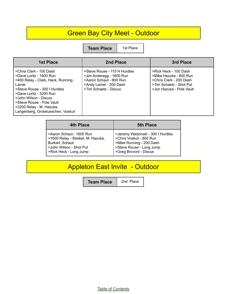# Green Bay City Meet - Outdoor

**Team Place** | 1st Place

| 1st Place                                                                                                                                                                                                                                                                            | 2nd Place                                                                                                                              | 3rd Place                                                                                                                         |
|--------------------------------------------------------------------------------------------------------------------------------------------------------------------------------------------------------------------------------------------------------------------------------------|----------------------------------------------------------------------------------------------------------------------------------------|-----------------------------------------------------------------------------------------------------------------------------------|
| >Chris Clark - 100 Dash<br>>Dave Loritz - 1600 Run<br>>400 Relay - Clark, Heck, Running,<br>Lamer<br>>Steve Rouse - 300   Hurdles<br>>Dave Loritz - 3200 Run<br>>John Wilson - Discus<br>>Steve Rouse - Pole Vault<br>>3200 Relay - M. Hazuka,<br>Langenberg, Grotelueschen, Voskuil | >Steve Rouse - 110 H Hurdles<br>>Jim Anderegg - 1600 Run<br>>Aaron Schaut - 800 Run<br>>Andy Lamer - 200 Dash<br>>Tim Schaetz - Discus | >Rick Heck - 100 Dash<br>>Mike Hazuka - 800 Run<br>>Chris Clark - 200 Dash<br>>Tim Schaetz - Shot Put<br>>Jon Hazuka - Pole Vault |

| 4th Place                         | <b>5th Place</b>                  |
|-----------------------------------|-----------------------------------|
| >Aaron Schaut - 1600 Run          | >Jeremy Wadzinski - 300 I Hurdles |
| >1600 Relay - Strebel, M. Hazuka, | >Chris Voskuil - 800 Run          |
| Burkart, Schaut                   | >Mike Running - 200 Dash          |
| >John Wilson - Shot Put           | >Steve Rouse - Long Jump          |
| >Rick Heck - Long Jump            | >Greg Brovont - Discus            |

# Appleton East Invite - Outdoor

**Team Place** 2nd Place

Table of [Contents](#page-1-0)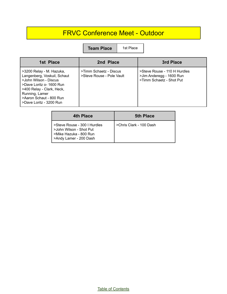# FRVC Conference Meet - Outdoor

**Team Place** | 1st Place

| 1st Place                                                                                                                                                                                                         | 2nd Place                                           | 3rd Place                                                                            |
|-------------------------------------------------------------------------------------------------------------------------------------------------------------------------------------------------------------------|-----------------------------------------------------|--------------------------------------------------------------------------------------|
| >3200 Relay - M. Hazuka,<br>Langenberg, Voskuil, Schaut<br>>John Wilson - Discus<br>>Dave Loritz o- 1600 Run<br>>400 Relay - Clark, Heck,<br>Running, Lamer<br>>Aaron Schaut - 800 Run<br>>Dave Loritz - 3200 Run | >Timm Schaetz - Discus<br>>Steve Rouse - Pole Vault | >Steve Rouse - 110 H Hurdles<br>>Jim Anderegg - 1600 Run<br>>Timm Schaetz - Shot Put |

| 4th Place                                                                                                   | <b>5th Place</b>        |
|-------------------------------------------------------------------------------------------------------------|-------------------------|
| >Steve Rouse - 300   Hurdles<br>>John Wilson - Shot Put<br>>Mike Hazuka - 800 Run<br>>Andy Lamer - 200 Dash | >Chris Clark - 100 Dash |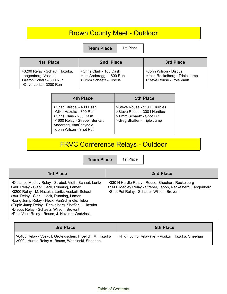# Brown County Meet - Outdoor

**Team Place** | 1st Place

| 1st Place                                                                                                    | 2nd Place                                                                     | 3rd Place                                                                            |
|--------------------------------------------------------------------------------------------------------------|-------------------------------------------------------------------------------|--------------------------------------------------------------------------------------|
| >3200 Relay - Schaut, Hazuka,<br>Langenberg, Voskuil<br>>Aaron Schaut - 800 Run<br>l >Dave Loritz - 3200 Run | >Chris Clark - 100 Dash<br>>Jim Anderegg - 1600 Run<br>>Timm Schaetz - Discus | >John Wilson - Discus<br>>Josh Reckelberg - Triple Jump<br>>Steve Rouse - Pole Vault |

| 4th Place                                                                                                                                                            | 5th Place                                                                                                               |
|----------------------------------------------------------------------------------------------------------------------------------------------------------------------|-------------------------------------------------------------------------------------------------------------------------|
| >Chad Strebel - 400 Dash<br>>Mike Hazuka - 800 Run<br>>Chris Clark - 200 Dash<br>>1600 Relay - Strebel, Burkart,<br>Anderegg, VanSchyndle<br>>John Wilson - Shot Put | >Steve Rouse - 110 H Hurdles<br>>Steve Rouse - 300 I Hurdles<br>>Timm Schaetz - Shot Put<br>>Greg Shaffer - Triple Jump |

# FRVC Conference Relays - Outdoor

**Team Place** | 1st Place

| <b>1st Place</b>                                                                                                                                                                                                                                                                                                                                                                                         | 2nd Place                                                                                                                                                     |
|----------------------------------------------------------------------------------------------------------------------------------------------------------------------------------------------------------------------------------------------------------------------------------------------------------------------------------------------------------------------------------------------------------|---------------------------------------------------------------------------------------------------------------------------------------------------------------|
| >Distance Medley Relay - Strebel, Vieth, Schaut, Loritz<br>>400 Relay - Clark, Heck, Running, Lamer<br>>3200 Relay - M. Hazuka, Loritz, Voskuil, Schaut<br>>800 Relay - Clark, Heck, Running, Lamer<br>>Long Jump Relay - Heck, VanSchyndle, Tebon<br>>Triple Jump Relay - Reckelberg, Shaffer, J. Hazuka<br>>Discus Relay - Schaetz, Wilson, Brovont<br>>Pole Vault Relay - Rouse, J. Hazuka, Wadzinski | >330 H Hurdle Relay - Rouse, Sheehan, Reckelberg<br>>1600 Medley Relay - Strebel, Tebon, Reckelberg, Langenberg<br>>Shot Put Relay - Schaetz, Wilson, Brovont |

| <b>3rd Place</b>                                                                                             | <b>5th Place</b>                                  |
|--------------------------------------------------------------------------------------------------------------|---------------------------------------------------|
| >6400 Relay - Voskuil, Groteluschen, Froelich, M. Hazuka<br>>900 I Hurdle Relay o- Rouse, Wadzinski, Sheehan | >High Jump Relay (tie) - Voskuil, Hazuka, Sheehan |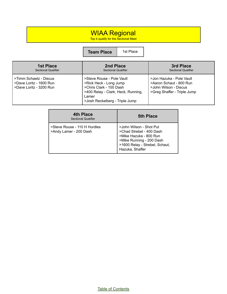## WIAA Regional

Top 4 qualify for the Sectional Meet

**Team Place** 1st Place

| <b>1st Place</b>                                                             | 2nd Place                                                                                                                                                       | 3rd Place                                                                                                   |
|------------------------------------------------------------------------------|-----------------------------------------------------------------------------------------------------------------------------------------------------------------|-------------------------------------------------------------------------------------------------------------|
| <b>Sectional Qualifier</b>                                                   | <b>Sectional Qualifier</b>                                                                                                                                      | <b>Sectional Qualifier</b>                                                                                  |
| >Timm Schaetz - Discus<br>>Dave Loritz - 1600 Run<br>>Dave Loritz - 3200 Run | >Steve Rouse - Pole Vault<br>>Rick Heck - Long Jump<br>>Chris Clark - 100 Dash<br>>400 Relay - Clark, Heck, Running,<br>Lamer<br>>Josh Reckelberg - Triple Jump | >Jon Hazuka - Pole Vault<br>>Aaron Schaut - 800 Run<br>>John Wilson - Discus<br>>Greg Shaffer - Triple Jump |

| 4th Place<br>Sectional Qualifier                       | <b>5th Place</b>                                                                                                                                               |
|--------------------------------------------------------|----------------------------------------------------------------------------------------------------------------------------------------------------------------|
| >Steve Rouse - 110 H Hurdles<br>>Andy Lamer - 200 Dash | >John Wilson - Shot Put<br>>Chad Strebel - 400 Dash<br>>Mike Hazuka - 800 Run<br>>Mike Running - 200 Dash<br>>1600 Relay - Strebel, Schaut,<br>Hazuka, Shaffer |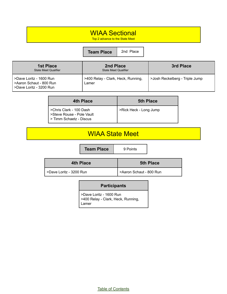# WIAA Sectional

Top 2 advance to the State Meet

**Team Place** 2nd Place

| <b>1st Place</b><br><b>State Meet Qualifier</b>                               | 2nd Place<br><b>State Meet Qualifier</b>    | 3rd Place                      |
|-------------------------------------------------------------------------------|---------------------------------------------|--------------------------------|
| >Dave Loritz - 1600 Run<br>>Aaron Schaut - 800 Run<br>>Dave Loritz - 3200 Run | >400 Relay - Clark, Heck, Running,<br>Lamer | >Josh Reckelberg - Triple Jump |

| 4th Place                                                                       | <b>5th Place</b>       |
|---------------------------------------------------------------------------------|------------------------|
| >Chris Clark - 100 Dash<br>>Steve Rouse - Pole Vault<br>> Timm Schaetz - Discus | >Rick Heck - Long Jump |

# WIAA State Meet

**Team Place** 9 Points

| 4th Place               | <b>5th Place</b>        |
|-------------------------|-------------------------|
| >Dave Loritz - 3200 Run | >Aaron Schaut - 800 Run |

#### **Participants**

>Dave Loritz - 1600 Run >400 Relay - Clark, Heck, Running, Lamer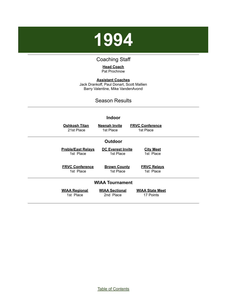<span id="page-37-0"></span>

## Coaching Staff

#### **Head Coach** Pat Prochnow

**Assistant Coaches** Jack Drankoff, Paul Donart, Scott Mallien Barry Valentine, Mike VandenAvond

### Season Results

| <b>Indoor</b>             |                          |                        |  |
|---------------------------|--------------------------|------------------------|--|
| <b>Oshkosh Titan</b>      | <b>Neenah Invite</b>     | <b>FRVC Conference</b> |  |
| 21st Place                | 1st Place                | 1st Place              |  |
|                           | <b>Outdoor</b>           |                        |  |
| <b>Preble/East Relays</b> | <b>DC Everest Invite</b> | <b>City Meet</b>       |  |
| 1st Place                 | 1st Place                | 1st Place              |  |
| <b>FRVC Conference</b>    | <b>Brown County</b>      | <b>FRVC Relays</b>     |  |
| 1st Place                 | 1st Place                | 1st Place              |  |
|                           | <b>WIAA Tournament</b>   |                        |  |
| <b>WIAA Regional</b>      | <b>WIAA Sectional</b>    | <b>WIAA State Meet</b> |  |
| 1st Place                 | 2nd Place                | 17 Points              |  |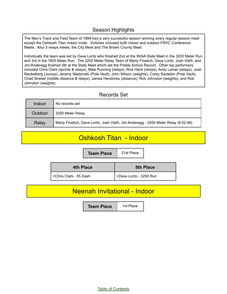## Season Highlights

The Men's Track and Field Team of 1994 had a very successful season winning every regular season meet except the Oshkosh Titan indoor invite. Victories included both indoor and outdoor FRVC Conference Meets. Also 3 relays meets, the City Meet and The Brown County Meet.

Individually the team was led by Dave Loritz who finished 2nd at the WIAA State Meet in the 3200 Meter Run and 3rd in the 1600 Meter Run. The 3200 Meter Relay Team of Marty Froelich, Dave Loritz, Josh Vieth, and Jim Anderegg finished 5th at the State Meet which set the Preble School Record. Other top performers included Chris Clark (sprints & relays), Mike Running (relays), Rick Heck (relays), Andy Lamer (relays), Josh Reckelberg (Jumps), Jeremy Wadzinski (Pole Vault), John Wilson (weights), Corey Sautebin (Pole Vault), Chad Strebel (middle distance & relays), James Hendricks (distance), Rob Johnston (weights), and Rob Johnston (weights).

## Records Set

| Indoor  | No records set                                                                     |  |
|---------|------------------------------------------------------------------------------------|--|
| Outdoor | 3200 Meter Relay                                                                   |  |
| Relay   | Marty Froelich, Dave Loritz, Josh Vieth, Jim Anderegg - 3200 Meter Relay (8:02.48) |  |

# Oshkosh Titan - Indoor

**Team Place** 21st Place

| 4th Place              | <b>5th Place</b>        |
|------------------------|-------------------------|
| >Chris Clark - 55 Dash | >Dave Loritz - 3200 Run |

## Neenah Invitational - Indoor

**Team Place** | 1st Place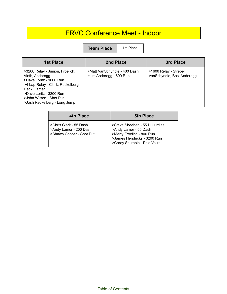# FRVC Conference Meet - Indoor

**Team Place** | 1st Place

| <b>1st Place</b>                                                                                                                                                                                                        | 2nd Place                                               | 3rd Place                                            |
|-------------------------------------------------------------------------------------------------------------------------------------------------------------------------------------------------------------------------|---------------------------------------------------------|------------------------------------------------------|
| >3200 Relay - Junion, Froelich,<br>Vieth, Anderegg<br>>Dave Loritz - 1600 Run<br>>4 Lap Relay - Clark, Reckelberg,<br>Heck. Lamer<br>>Dave Loritz - 3200 Run<br>>John Wilson - Shot Put<br>>Josh Reckelberg - Long Jump | >Matt VanSchyndle - 400 Dash<br>>Jim Anderegg - 800 Run | >1600 Relay - Strebel,<br>VanSchyndle, Bos, Anderegg |

| 4th Place                                                                    | <b>5th Place</b>                                                                                                                                   |
|------------------------------------------------------------------------------|----------------------------------------------------------------------------------------------------------------------------------------------------|
| >Chris Clark - 55 Dash<br>>Andy Lamer - 200 Dash<br>>Shawn Cooper - Shot Put | >Steve Sheehan - 55 H Hurdles<br>>Andy Lamer - 55 Dash<br>>Marty Froelich - 800 Run<br>>James Hendricks - 3200 Run<br>>Corey Sautebin - Pole Vault |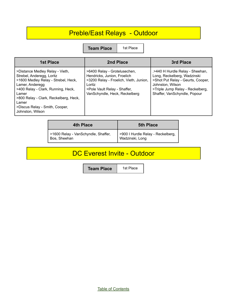# Preble/East Relays - Outdoor

**Team Place** | 1st Place

| 1st Place                                                                                                                                                                                                                                                                     | 2nd Place                                                                                                                                                                        | 3rd Place                                                                                                                                                                                   |
|-------------------------------------------------------------------------------------------------------------------------------------------------------------------------------------------------------------------------------------------------------------------------------|----------------------------------------------------------------------------------------------------------------------------------------------------------------------------------|---------------------------------------------------------------------------------------------------------------------------------------------------------------------------------------------|
| >Distance Medley Relay - Vieth,<br>Strebel, Anderegg, Loritz<br>>1600 Medley Relay - Strebel, Heck,<br>Lamer, Anderegg<br>>400 Relay - Clark, Running, Heck,<br>Lamer<br>>800 Relay - Clark, Reckelberg, Heck,<br>Lamer<br>>Discus Relay - Smith, Cooper,<br>Johnston, Wilson | >6400 Relay - Grotelusechen,<br>Hendricks, Junion, Froelich<br>>3200 Relay - Froelich, Vieth, Junion,<br>Loritz<br>>Pole Vault Relay - Shaffer,<br>VanSchyndle, Heck, Reckelberg | .>440 H Hurdle Relay - Sheehan,<br>Long, Reckelberg, Wadzinski<br>>Shot Put Relay - Geurts, Cooper,<br>Johnston, Wilson<br>>Triple Jump Relay - Reckelberg,<br>Shaffer, VanSchyndle, Popour |

| 4th Place                                           | <b>5th Place</b>                                     |
|-----------------------------------------------------|------------------------------------------------------|
| >1600 Relay - VanSchyndle, Shaffer,<br>Bos, Sheehan | >900 I Hurdle Relay - Reckelberg,<br>Wadzinski, Long |

# DC Everest Invite - Outdoor

**Team Place** | 1st Place

Table of [Contents](#page-1-0)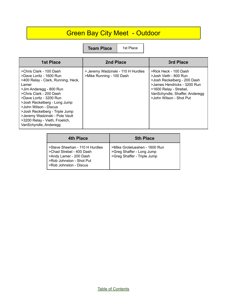# Green Bay City Meet - Outdoor

**Team Place** | 1st Place

| <b>1st Place</b>                                                                                                                                                                                                                                                                                                                                                           | 2nd Place                                                      | 3rd Place                                                                                                                                                                                           |
|----------------------------------------------------------------------------------------------------------------------------------------------------------------------------------------------------------------------------------------------------------------------------------------------------------------------------------------------------------------------------|----------------------------------------------------------------|-----------------------------------------------------------------------------------------------------------------------------------------------------------------------------------------------------|
| >Chris Clark - 100 Dash<br>>Dave Loritz - 1600 Run<br>>400 Relay - Clark, Running, Heck,<br>Lamer<br>>Jim Anderegg - 800 Run<br>>Chris Clark - 200 Dash<br>>Dave Loritz - 3200 Run<br>>Josh Reckelberg - Long Jump<br>>John Wilson - Discus<br>>Josh Reckelberg - Triple Jump<br>>Jeremy Wadzinski - Pole Vault<br>>3200 Relay - Vieth, Froelich,<br>VanSchyndle, Anderegg | >.Jeremy Wadzinski - 110 H Hurdles<br>>Mike Running - 100 Dash | >Rick Heck - 100 Dash<br>>Josh Vieth - 800 Run<br>>Josh Reckelberg - 200 Dash<br>>James Hendricks - 3200 Run<br>>1600 Relay - Strebel,<br>VanSchyndle, Shaffer, Anderegg<br>>John Wilson - Shot Put |

| 4th Place                                                                                                                                  | <b>5th Place</b>                                                                          |
|--------------------------------------------------------------------------------------------------------------------------------------------|-------------------------------------------------------------------------------------------|
| >Steve Sheehan - 110 H Hurdles<br>>Chad Strebel - 400 Dash<br>>Andy Lamer - 200 Dash<br>>Rob Johnston - Shot Put<br>>Rob Johnston - Discus | >Mike Grotelueshen - 1600 Run<br>>Greg Shaffer - Long Jump<br>>Greg Shaffer - Triple Jump |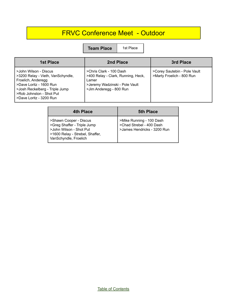# FRVC Conference Meet - Outdoor

**Team Place** 1st Place

| <b>1st Place</b>                                                                                                                                                                                     | 2nd Place                                                                                                                           | 3rd Place                                                 |
|------------------------------------------------------------------------------------------------------------------------------------------------------------------------------------------------------|-------------------------------------------------------------------------------------------------------------------------------------|-----------------------------------------------------------|
| >John Wilson - Discus<br>>3200 Relay - Vieth, VanSchyndle,<br>Froelich, Anderegg<br>>Dave Loritz - 1600 Run<br>>Josh Reckelberg - Triple Jump<br>>Rob Johnston - Shot Put<br>>Dave Loritz - 3200 Run | >Chris Clark - 100 Dash<br>>400 Relay - Clark, Running, Heck,<br>Lamer<br>>Jeremy Wadzinski - Pole Vault<br>>Jim Anderegg - 800 Run | >Corey Sautebin - Pole Vault<br>>Marty Froelich - 800 Run |

| <b>4th Place</b>                                                                                                                             | <b>5th Place</b>                                                                      |
|----------------------------------------------------------------------------------------------------------------------------------------------|---------------------------------------------------------------------------------------|
| >Shawn Cooper - Discus<br>>Greg Shaffer - Triple Jump<br>>John Wilson - Shot Put<br>>1600 Relay - Strebel, Shaffer,<br>VanSchyndle, Froelich | >Mike Running - 100 Dash<br>  >Chad Strebel - 400 Dash<br>>James Hendricks - 3200 Run |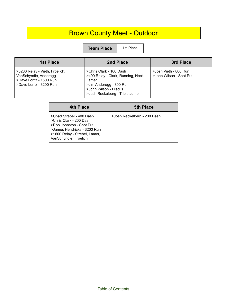# Brown County Meet - Outdoor

**Team Place** | 1st Place

| <b>1st Place</b>                                                                                              | 2nd Place                                                                                                                                                    | 3rd Place                                        |
|---------------------------------------------------------------------------------------------------------------|--------------------------------------------------------------------------------------------------------------------------------------------------------------|--------------------------------------------------|
| >3200 Relay - Vieth, Froelich,<br>VanSchyndle, Anderegg<br>>Dave Loritz - 1600 Run<br>>Dave Loritz - 3200 Run | >Chris Clark - 100 Dash<br>>400 Relay - Clark, Running, Heck,<br>Lamer<br>>Jim Anderegg - 800 Run<br>>John Wilson - Discus<br>>Josh Reckelberg - Triple Jump | >Josh Vieth - 800 Run<br>>John Wilson - Shot Put |

| 4th Place                                                                                                                                                                | <b>5th Place</b>            |
|--------------------------------------------------------------------------------------------------------------------------------------------------------------------------|-----------------------------|
| >Chad Strebel - 400 Dash<br>>Chris Clark - 200 Dash<br>>Rob Johnston - Shot Put<br>>James Hendricks - 3200 Run<br>>1600 Relay - Strebel, Lamer,<br>VanSchyndle, Froelich | >Josh Reckelberg - 200 Dash |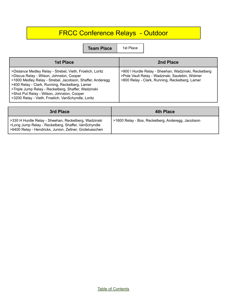# FRCC Conference Relays - Outdoor

**Team Place** | 1st Place

| 1st Place                                                                                                                                                                                                                                                                                                                                                                       | 2nd Place                                                                                                                                                 |
|---------------------------------------------------------------------------------------------------------------------------------------------------------------------------------------------------------------------------------------------------------------------------------------------------------------------------------------------------------------------------------|-----------------------------------------------------------------------------------------------------------------------------------------------------------|
| >Distance Medley Relay - Strebel, Vieth, Froelich, Loritz<br>>Discus Relay - Wilson, Johnston, Cooper<br>>1600 Medley Relay - Strebel, Jacobson, Shaffer, Anderegg<br>>400 Relay - Clark, Running, Reckelberg, Lamer<br>>Triple Jump Relay - Reckelberg, Shaffer, Wadzinski<br>>Shot Put Relay - Wilson, Johnston, Cooper<br>>3200 Relay - Vieth, Froelich, VanSchyndle, Loritz | >900   Hurdle Relay - Sheehan, Wadzinski, Reckelberg<br>>Pole Vault Relay - Wadzinski, Sautebin, Widmer<br>>800 Relay - Clark, Running, Reckelberg, Lamer |
|                                                                                                                                                                                                                                                                                                                                                                                 |                                                                                                                                                           |

| 3rd Place                                                                                                                                                                | <b>4th Place</b>                                  |
|--------------------------------------------------------------------------------------------------------------------------------------------------------------------------|---------------------------------------------------|
| >330 H Hurdle Relay - Sheehan, Reckelberg, Wadzinski<br>  >Long Jump Relay - Reckelberg, Shaffer, VanSchyndle<br>S6400 Relay - Hendricks, Junion, Zellner, Grotelueschen | >1600 Relay - Bos, Reckelberg, Anderegg, Jacobson |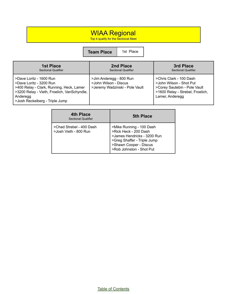## WIAA Regional

Top 4 qualify for the Sectional Meet

**Team Place** 1st Place

| 1st Place                                                                                                                                                                                   | 2nd Place                                                                          | 3rd Place                                                                                                                                 |
|---------------------------------------------------------------------------------------------------------------------------------------------------------------------------------------------|------------------------------------------------------------------------------------|-------------------------------------------------------------------------------------------------------------------------------------------|
| <b>Sectional Qualifier</b>                                                                                                                                                                  | <b>Sectional Qualifier</b>                                                         | <b>Sectional Qualifier</b>                                                                                                                |
| >Dave Loritz - 1600 Run<br>>Dave Loritz - 3200 Run<br>>400 Relay - Clark, Running, Heck, Lamer<br>>3200 Relay - Vieth, Froelich, VanSchyndle,<br>Anderegg<br>>Josh Reckelberg - Triple Jump | >Jim Anderegg - 800 Run<br>>John Wilson - Discus<br>>Jeremy Wadzinski - Pole Vault | >Chris Clark - 100 Dash<br>>John Wilson - Shot Put<br>>Corey Sautebin - Pole Vault<br>>1600 Relay - Strebel, Froelich,<br>Lamer, Anderegg |

| <b>4th Place</b><br><b>Sectional Qualifier</b>    | 5th Place                                                                                                                                                             |
|---------------------------------------------------|-----------------------------------------------------------------------------------------------------------------------------------------------------------------------|
| >Chad Strebel - 400 Dash<br>>Josh Vieth - 800 Run | >Mike Running - 100 Dash<br>>Rick Heck - 200 Dash<br>>James Hendricks - 3200 Run<br>>Greg Shaffer - Triple Jump<br>>Shawn Cooper - Discus<br>>Rob Johnston - Shot Put |